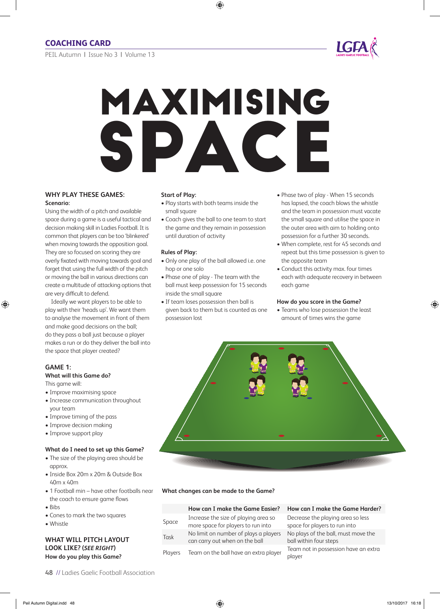PEIL Autumn | Issue No 3 | Volume 13



# Maximising SPACE

### **WHy Play THESE gaMES: Scenario:**

Using the width of a pitch and available space during a game is a useful tactical and decision making skill in ladies Football. It is common that players can be too 'blinkered' when moving towards the opposition goal. They are so focused on scoring they are overly fixated with moving towards goal and forget that using the full width of the pitch or moving the ball in various directions can create a multitude of attacking options that are very difficult to defend.

Ideally we want players to be able to play with their 'heads up'. we want them to analyse the movement in front of them and make good decisions on the ball; do they pass a ball just because a player makes a run or do they deliver the ball into the space that player created?

# **gaME 1:**

# **What will this game do?**

This game will:

- Improve maximising space
- Increase communication throughout your team
- Improve timing of the pass
- Improve decision making
- Improve support play

### **What do i need to set up this game?**

- The size of the playing area should be approx.
- Inside Box 20m x 20m & Outside Box 40m x 40m
- 1 Football min have other footballs near the coach to ensure game flows
- Bibs
- Cones to mark the two squares
- Whistle

### **WHaT Will PiTCH layouT looK liKE? (***SEE RIGHT***) How do you play this game?**

### **Start of Play:**

- Play starts with both teams inside the small square
- Coach gives the ball to one team to start the game and they remain in possession until duration of activity

### **Rules of Play:**

- Only one play of the ball allowed i.e. one hop or one solo
- Phase one of play The team with the ball must keep possession for 15 seconds inside the small square
- If team loses possession then ball is given back to them but is counted as one possession lost
- Phase two of play When 15 seconds has lapsed, the coach blows the whistle and the team in possession must vacate the small square and utilise the space in the outer area with aim to holding onto possession for a further 30 seconds.
- When complete, rest for 45 seconds and repeat but this time possession is given to the opposite team
- Conduct this activity max. four times each with adequate recovery in between each game

### **How do you score in the game?**

• Teams who lose possession the least amount of times wins the game



# **What changes can be made to the game?**

|       | How can I make the Game Easier?       | н  |
|-------|---------------------------------------|----|
| Space | Increase the size of playing area so  | D۱ |
|       | more space for players to run into    | sp |
| Task  | No limit on number of plays a players | N  |
|       | can carry out when on the ball        | b  |
|       |                                       | т, |

### *A***W can I make the Game Harder?**

ecrease the playing area so less bace for players to run into o plays of the ball, must move the ball within four steps Players Team on the ball have an extra player Team not in possession have an extra player